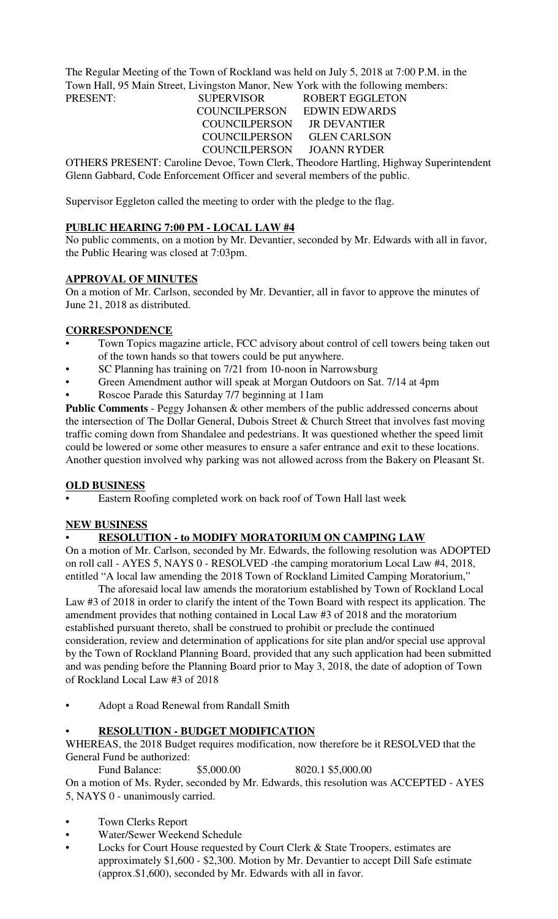The Regular Meeting of the Town of Rockland was held on July 5, 2018 at 7:00 P.M. in the Town Hall, 95 Main Street, Livingston Manor, New York with the following members: PRESENT: SUPERVISOR ROBERT EGGLETON

 COUNCILPERSON JR DEVANTIER COUNCILPERSON JOANN RYDER

 COUNCILPERSON EDWIN EDWARDS COUNCILPERSON GLEN CARLSON

OTHERS PRESENT: Caroline Devoe, Town Clerk, Theodore Hartling, Highway Superintendent Glenn Gabbard, Code Enforcement Officer and several members of the public.

Supervisor Eggleton called the meeting to order with the pledge to the flag.

# **PUBLIC HEARING 7:00 PM - LOCAL LAW #4**

No public comments, on a motion by Mr. Devantier, seconded by Mr. Edwards with all in favor, the Public Hearing was closed at 7:03pm.

# **APPROVAL OF MINUTES**

On a motion of Mr. Carlson, seconded by Mr. Devantier, all in favor to approve the minutes of June 21, 2018 as distributed.

# **CORRESPONDENCE**

- Town Topics magazine article, FCC advisory about control of cell towers being taken out of the town hands so that towers could be put anywhere.
- SC Planning has training on 7/21 from 10-noon in Narrowsburg
- Green Amendment author will speak at Morgan Outdoors on Sat. 7/14 at 4pm
- Roscoe Parade this Saturday 7/7 beginning at 11am

**Public Comments** - Peggy Johansen & other members of the public addressed concerns about the intersection of The Dollar General, Dubois Street & Church Street that involves fast moving traffic coming down from Shandalee and pedestrians. It was questioned whether the speed limit could be lowered or some other measures to ensure a safer entrance and exit to these locations. Another question involved why parking was not allowed across from the Bakery on Pleasant St.

# **OLD BUSINESS**

• Eastern Roofing completed work on back roof of Town Hall last week

# **NEW BUSINESS**

# • **RESOLUTION - to MODIFY MORATORIUM ON CAMPING LAW**

On a motion of Mr. Carlson, seconded by Mr. Edwards, the following resolution was ADOPTED on roll call - AYES 5, NAYS 0 - RESOLVED -the camping moratorium Local Law #4, 2018, entitled "A local law amending the 2018 Town of Rockland Limited Camping Moratorium,"

The aforesaid local law amends the moratorium established by Town of Rockland Local Law #3 of 2018 in order to clarify the intent of the Town Board with respect its application. The amendment provides that nothing contained in Local Law #3 of 2018 and the moratorium established pursuant thereto, shall be construed to prohibit or preclude the continued consideration, review and determination of applications for site plan and/or special use approval by the Town of Rockland Planning Board, provided that any such application had been submitted and was pending before the Planning Board prior to May 3, 2018, the date of adoption of Town of Rockland Local Law #3 of 2018

• Adopt a Road Renewal from Randall Smith

# • **RESOLUTION - BUDGET MODIFICATION**

WHEREAS, the 2018 Budget requires modification, now therefore be it RESOLVED that the General Fund be authorized:

Fund Balance: \$5,000.00 8020.1 \$5,000.00 On a motion of Ms. Ryder, seconded by Mr. Edwards, this resolution was ACCEPTED - AYES 5, NAYS 0 - unanimously carried.

- Town Clerks Report
- Water/Sewer Weekend Schedule
- Locks for Court House requested by Court Clerk & State Troopers, estimates are approximately \$1,600 - \$2,300. Motion by Mr. Devantier to accept Dill Safe estimate (approx.\$1,600), seconded by Mr. Edwards with all in favor.